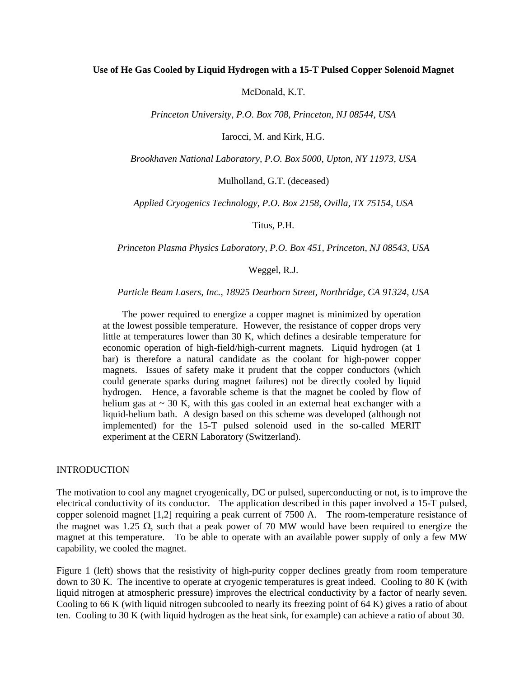#### **Use of He Gas Cooled by Liquid Hydrogen with a 15-T Pulsed Copper Solenoid Magnet**

McDonald, K.T.

*Princeton University, P.O. Box 708, Princeton, NJ 08544, USA* 

Iarocci, M. and Kirk, H.G.

*Brookhaven National Laboratory, P.O. Box 5000, Upton, NY 11973, USA* 

Mulholland, G.T. (deceased)

*Applied Cryogenics Technology, P.O. Box 2158, Ovilla, TX 75154, USA* 

Titus, P.H.

*Princeton Plasma Physics Laboratory, P.O. Box 451, Princeton, NJ 08543, USA* 

Weggel, R.J.

*Particle Beam Lasers, Inc., 18925 Dearborn Street, Northridge, CA 91324, USA* 

 The power required to energize a copper magnet is minimized by operation at the lowest possible temperature. However, the resistance of copper drops very little at temperatures lower than 30 K, which defines a desirable temperature for economic operation of high-field/high-current magnets. Liquid hydrogen (at 1 bar) is therefore a natural candidate as the coolant for high-power copper magnets. Issues of safety make it prudent that the copper conductors (which could generate sparks during magnet failures) not be directly cooled by liquid hydrogen. Hence, a favorable scheme is that the magnet be cooled by flow of helium gas at  $\sim$  30 K, with this gas cooled in an external heat exchanger with a liquid-helium bath. A design based on this scheme was developed (although not implemented) for the 15-T pulsed solenoid used in the so-called MERIT experiment at the CERN Laboratory (Switzerland).

#### INTRODUCTION

The motivation to cool any magnet cryogenically, DC or pulsed, superconducting or not, is to improve the electrical conductivity of its conductor. The application described in this paper involved a 15-T pulsed, copper solenoid magnet [1,2] requiring a peak current of 7500 A. The room-temperature resistance of the magnet was 1.25  $\Omega$ , such that a peak power of 70 MW would have been required to energize the magnet at this temperature. To be able to operate with an available power supply of only a few MW capability, we cooled the magnet.

Figure 1 (left) shows that the resistivity of high-purity copper declines greatly from room temperature down to 30 K. The incentive to operate at cryogenic temperatures is great indeed. Cooling to 80 K (with liquid nitrogen at atmospheric pressure) improves the electrical conductivity by a factor of nearly seven. Cooling to 66 K (with liquid nitrogen subcooled to nearly its freezing point of 64 K) gives a ratio of about ten. Cooling to 30 K (with liquid hydrogen as the heat sink, for example) can achieve a ratio of about 30.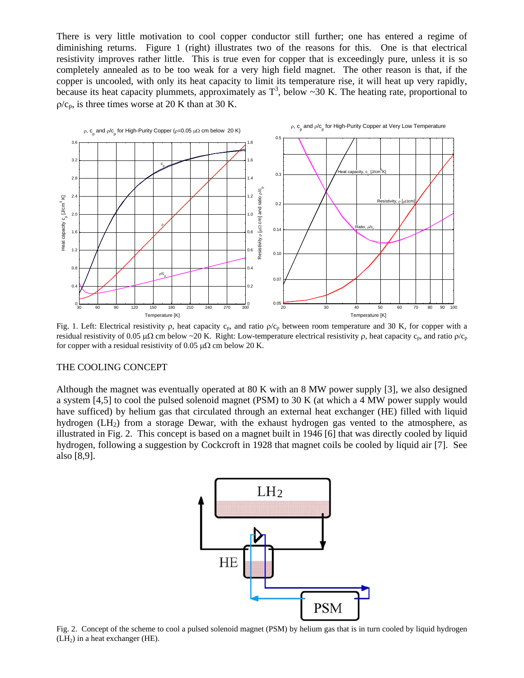There is very little motivation to cool copper conductor still further; one has entered a regime of diminishing returns. Figure 1 (right) illustrates two of the reasons for this. One is that electrical resistivity improves rather little. This is true even for copper that is exceedingly pure, unless it is so completely annealed as to be too weak for a very high field magnet. The other reason is that, if the copper is uncooled, with only its heat capacity to limit its temperature rise, it will heat up very rapidly, because its heat capacity plummets, approximately as  $T^3$ , below ~30 K. The heating rate, proportional to  $\rho/c_p$ , is three times worse at 20 K than at 30 K.



Fig. 1. Left: Electrical resistivity  $\rho$ , heat capacity  $c_p$ , and ratio  $\rho/c_p$  between room temperature and 30 K, for copper with a residual resistivity of 0.05  $\mu\Omega$  cm below ~20 K. Right: Low-temperature electrical resistivity  $\rho$ , heat capacity  $c_p$ , and ratio  $\rho/c_p$ for copper with a residual resistivity of 0.05  $\mu\Omega$  cm below 20 K.

### THE COOLING CONCEPT

Although the magnet was eventually operated at 80 K with an 8 MW power supply [3], we also designed a system [4,5] to cool the pulsed solenoid magnet (PSM) to 30 K (at which a 4 MW power supply would have sufficed) by helium gas that circulated through an external heat exchanger (HE) filled with liquid hydrogen (LH<sub>2</sub>) from a storage Dewar, with the exhaust hydrogen gas vented to the atmosphere, as illustrated in Fig. 2. This concept is based on a magnet built in 1946 [6] that was directly cooled by liquid hydrogen, following a suggestion by Cockcroft in 1928 that magnet coils be cooled by liquid air [7]. See also [8,9].



Fig. 2. Concept of the scheme to cool a pulsed solenoid magnet (PSM) by helium gas that is in turn cooled by liquid hydrogen  $(LH<sub>2</sub>)$  in a heat exchanger (HE).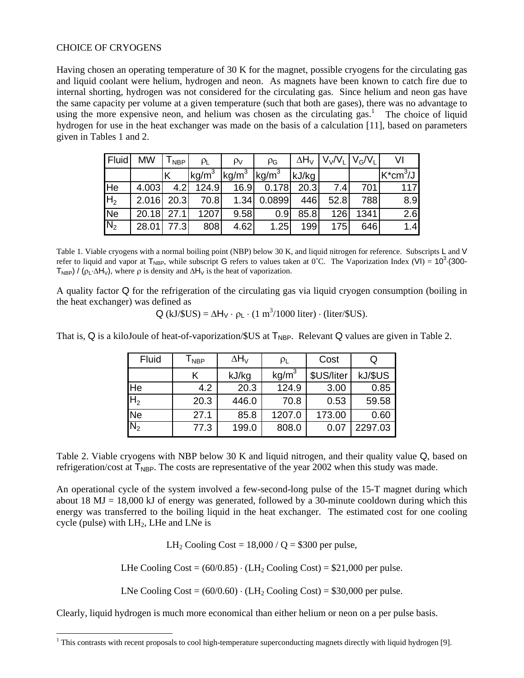# CHOICE OF CRYOGENS

Having chosen an operating temperature of 30 K for the magnet, possible cryogens for the circulating gas and liquid coolant were helium, hydrogen and neon. As magnets have been known to catch fire due to internal shorting, hydrogen was not considered for the circulating gas. Since helium and neon gas have the same capacity per volume at a given temperature (such that both are gases), there was no advantage to using the more expensive neon, and helium was chosen as the circulating gas.<sup>1</sup> The choice of liquid hydrogen for use in the heat exchanger was made on the basis of a calculation [11], based on parameters given in Tables 1 and 2.

| Fluid          | <b>MW</b>    | $T_{\sf NBP}$ | $\rho_L$                                                                                  | $\rho_V$ | $\rho_{\rm G}$ |       | $\Delta H_V$ $V_V/V_L$ $V_G/V_L$ |      | VI          |
|----------------|--------------|---------------|-------------------------------------------------------------------------------------------|----------|----------------|-------|----------------------------------|------|-------------|
|                |              | Κ             | $\left\vert \text{kg/m}^3 \right\vert \text{kg/m}^3 \left\vert \text{kg/m}^3 \right\vert$ |          |                | kJ/kg |                                  |      | $K^*cm^3/J$ |
| He             | 4.003        |               | 4.2 124.9                                                                                 | 16.9     | 0.178          | 20.3  | 7.4                              | 701  | 117         |
| H <sub>2</sub> | $2.016$ 20.3 |               | 70.8                                                                                      | 1.34     | 0.0899         | 446   | 52.8                             | 788  | 8.9         |
| <b>Ne</b>      | 20.18 27.1   |               | 1207                                                                                      | 9.58     | 0.9            | 85.8  | 126                              | 1341 | 2.6         |
| $N_2$          | 28.01        | 77.3          | 808                                                                                       | 4.62     | 1.25           | 199   | 175                              | 646  | 1.4         |

Table 1. Viable cryogens with a normal boiling point (NBP) below 30 K, and liquid nitrogen for reference. Subscripts L and V refer to liquid and vapor at  $T_{NBP}$ , while subscript G refers to values taken at  $0^{\circ}$ C. The Vaporization Index (VI) = 10<sup>3</sup> (300- $T_{\text{NBP}}$ ) / ( $\rho_L \Delta H_V$ ), where  $\rho$  is density and  $\Delta H_V$  is the heat of vaporization.

A quality factor Q for the refrigeration of the circulating gas via liquid cryogen consumption (boiling in the heat exchanger) was defined as

 $Q$  (kJ/\$US) =  $\Delta H_V \cdot \rho_L \cdot (1 \text{ m}^3/1000 \text{ liter}) \cdot$  (liter/\$US).

That is,  $Q$  is a kiloJoule of heat-of-vaporization/ $SUS$  at  $T_{NBP}$ . Relevant  $Q$  values are given in Table 2.

| Fluid                  | <b>NBP</b> | $\Delta H_V$ | $\rho_L$          | Cost       |         |
|------------------------|------------|--------------|-------------------|------------|---------|
|                        | Κ          | kJ/kg        | kg/m <sup>3</sup> | \$US/liter | kJ/\$US |
| $\overline{\text{He}}$ | 4.2        | 20.3         | 124.9             | 3.00       | 0.85    |
| $H_2$                  | 20.3       | 446.0        | 70.8              | 0.53       | 59.58   |
| $\overline{\text{Ne}}$ | 27.1       | 85.8         | 1207.0            | 173.00     | 0.60    |
| $N_{2}$                | 77.3       | 199.0        | 808.0             | 0.07       | 2297.03 |

Table 2. Viable cryogens with NBP below 30 K and liquid nitrogen, and their quality value Q, based on refrigeration/cost at  $T_{\text{NBP}}$ . The costs are representative of the year 2002 when this study was made.

An operational cycle of the system involved a few-second-long pulse of the 15-T magnet during which about 18 MJ = 18,000 kJ of energy was generated, followed by a 30-minute cooldown during which this energy was transferred to the boiling liquid in the heat exchanger. The estimated cost for one cooling cycle (pulse) with  $LH_2$ , LHe and LNe is

LH<sub>2</sub> Cooling Cost =  $18,000 / Q = $300$  per pulse,

LHe Cooling Cost =  $(60/0.85) \cdot$  (LH<sub>2</sub> Cooling Cost) = \$21,000 per pulse.

LNe Cooling Cost =  $(60/0.60) \cdot$  (LH<sub>2</sub> Cooling Cost) = \$30,000 per pulse.

Clearly, liquid hydrogen is much more economical than either helium or neon on a per pulse basis.

l  $1$  This contrasts with recent proposals to cool high-temperature superconducting magnets directly with liquid hydrogen [9].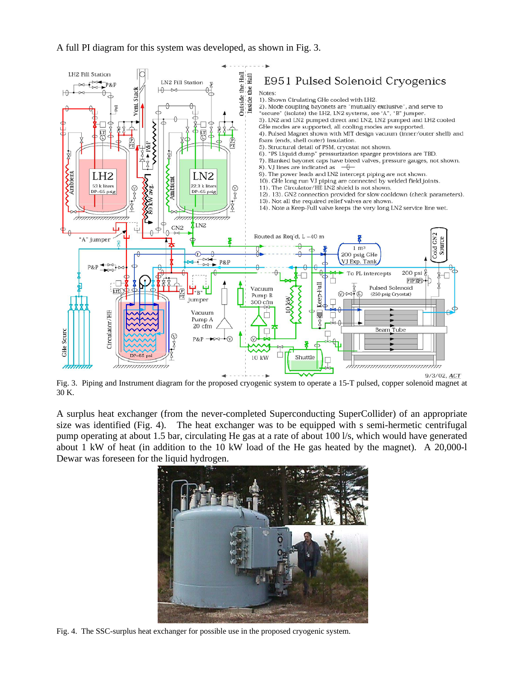# A full PI diagram for this system was developed, as shown in Fig. 3.



Fig. 3. Piping and Instrument diagram for the proposed cryogenic system to operate a 15-T pulsed, copper solenoid magnet at 30 K.

A surplus heat exchanger (from the never-completed Superconducting SuperCollider) of an appropriate size was identified (Fig. 4). The heat exchanger was to be equipped with s semi-hermetic centrifugal pump operating at about 1.5 bar, circulating He gas at a rate of about 100 l/s, which would have generated about 1 kW of heat (in addition to the 10 kW load of the He gas heated by the magnet). A 20,000-l Dewar was foreseen for the liquid hydrogen.



Fig. 4. The SSC-surplus heat exchanger for possible use in the proposed cryogenic system.